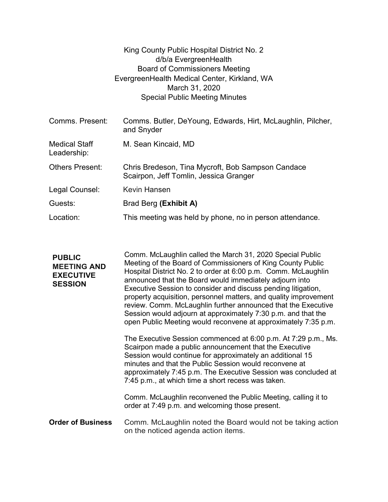|                                     | King County Public Hospital District No. 2                                                  |
|-------------------------------------|---------------------------------------------------------------------------------------------|
|                                     | d/b/a EvergreenHealth                                                                       |
|                                     | <b>Board of Commissioners Meeting</b>                                                       |
|                                     | EvergreenHealth Medical Center, Kirkland, WA                                                |
|                                     | March 31, 2020                                                                              |
|                                     | <b>Special Public Meeting Minutes</b>                                                       |
|                                     |                                                                                             |
| Comms. Present:                     | Comms. Butler, DeYoung, Edwards, Hirt, McLaughlin, Pilcher,<br>and Snyder                   |
| <b>Medical Staff</b><br>Leadership: | M. Sean Kincaid, MD                                                                         |
| <b>Others Present:</b>              | Chris Bredeson, Tina Mycroft, Bob Sampson Candace<br>Scairpon, Jeff Tomlin, Jessica Granger |
| Legal Counsel:                      | <b>Kevin Hansen</b>                                                                         |
| Guests:                             | Brad Berg (Exhibit A)                                                                       |
| Location:                           | This meeting was held by phone, no in person attendance.                                    |

PUBLIC MEETING AND EXECUTIVE SESSION Executive Session to consider and discuss pending litigation, Comm. McLaughlin called the March 31, 2020 Special Public Meeting of the Board of Commissioners of King County Public Hospital District No. 2 to order at 6:00 p.m. Comm. McLaughlin announced that the Board would immediately adjourn into property acquisition, personnel matters, and quality improvement review. Comm. McLaughlin further announced that the Executive Session would adjourn at approximately 7:30 p.m. and that the open Public Meeting would reconvene at approximately 7:35 p.m. The Executive Session commenced at 6:00 p.m. At 7:29 p.m., Ms. Scairpon made a public announcement that the Executive Session would continue for approximately an additional 15 minutes and that the Public Session would reconvene at approximately 7:45 p.m. The Executive Session was concluded at 7:45 p.m., at which time a short recess was taken. Comm. McLaughlin reconvened the Public Meeting, calling it to order at 7:49 p.m. and welcoming those present. **Order of Business** Comm. McLaughlin noted the Board would not be taking action on the noticed agenda action items.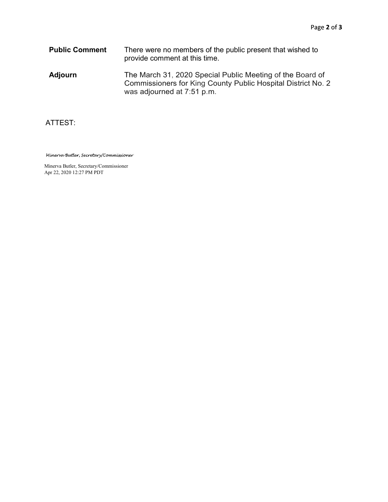Public Comment There were no members of the public present that wished to provide comment at this time.

Adjourn The March 31, 2020 Special Public Meeting of the Board of Commissioners for King County Public Hospital District No. 2 was adjourned at 7:51 p.m.

## ATTEST:

Minerva Butler, Secretary/Commissioner

Minerva Butler, Secretary/Commissioner Apr 22, 2020 12:27 PM PDT